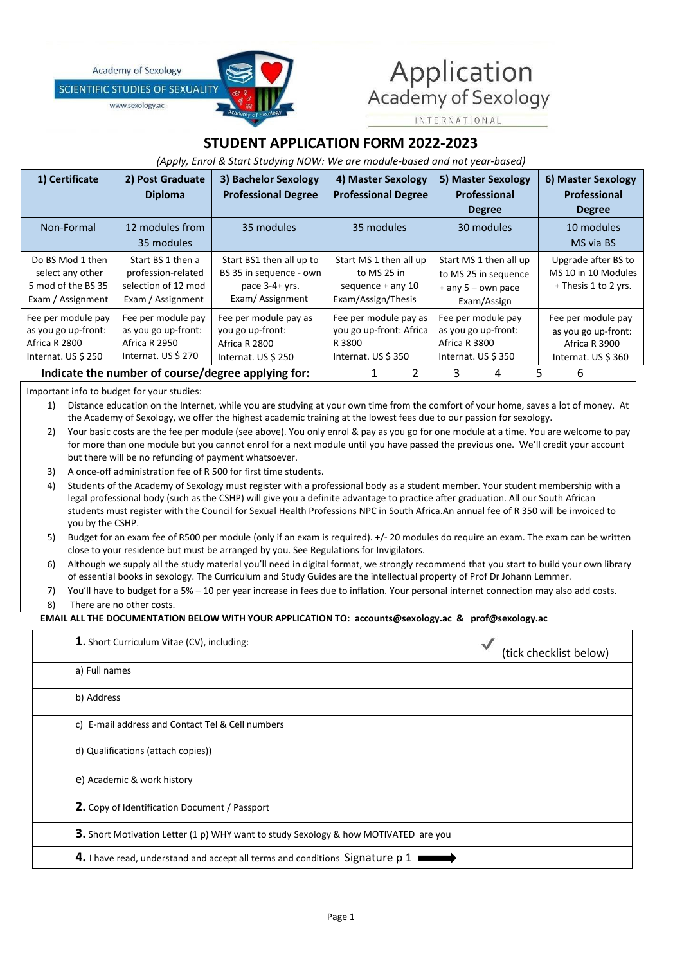**Academy of Sexology** 

**SCIENTIFIC STUDIES OF SEXUALIT** 

www.sexology.ac



# Application Academy of Sexology

**INTERNATIONAL** 

# **STUDENT APPLICATION FORM 2022-2023**

# *(Apply, Enrol & Start Studying NOW: We are module-based and notyear-based)*

| 1) Certificate                                                                    | 2) Post Graduate<br><b>Diploma</b>                                                  | 3) Bachelor Sexology<br><b>Professional Degree</b>                                         | 4) Master Sexology<br><b>Professional Degree</b>                                   | 5) Master Sexology<br>Professional<br><b>Degree</b>                                   | 6) Master Sexology<br>Professional<br><b>Degree</b>                              |
|-----------------------------------------------------------------------------------|-------------------------------------------------------------------------------------|--------------------------------------------------------------------------------------------|------------------------------------------------------------------------------------|---------------------------------------------------------------------------------------|----------------------------------------------------------------------------------|
| Non-Formal                                                                        | 12 modules from<br>35 modules                                                       | 35 modules                                                                                 | 35 modules                                                                         | 30 modules                                                                            | 10 modules<br>MS via BS                                                          |
| Do BS Mod 1 then<br>select any other<br>5 mod of the BS 35<br>Exam / Assignment   | Start BS 1 then a<br>profession-related<br>selection of 12 mod<br>Exam / Assignment | Start BS1 then all up to<br>BS 35 in sequence - own<br>pace $3-4+$ yrs.<br>Exam/Assignment | Start MS 1 then all up<br>to MS 25 in<br>sequence $+$ any 10<br>Exam/Assign/Thesis | Start MS 1 then all up<br>to MS 25 in sequence<br>$+$ any 5 – own pace<br>Exam/Assign | Upgrade after BS to<br>MS 10 in 10 Modules<br>$+$ Thesis 1 to 2 yrs.             |
| Fee per module pay<br>as you go up-front:<br>Africa R 2800<br>Internat. US \$ 250 | Fee per module pay<br>as you go up-front:<br>Africa R 2950<br>Internat. $US \ $270$ | Fee per module pay as<br>you go up-front:<br>Africa R 2800<br>Internat. US \$ 250          | Fee per module pay as<br>you go up-front: Africa<br>R 3800<br>Internat. US \$350   | Fee per module pay<br>as you go up-front:<br>Africa R 3800<br>Internat. US \$350      | Fee per module pay<br>as you go up-front:<br>Africa R 3900<br>Internat. US \$360 |
| Indicate the number of course/degree applying for:                                |                                                                                     |                                                                                            |                                                                                    | 3<br>4                                                                                | 6<br>5                                                                           |

Important info to budget for your studies:

1) Distance education on the Internet, while you are studying at your own time from the comfort of your home, saves a lot of money. At the Academy of Sexology, we offer the highest academic training at the lowest fees due to our passion for sexology.

- 2) Your basic costs are the fee per module (see above). You only enrol & pay as you go for one module at a time. You are welcome to pay for more than one module but you cannot enrol for a next module until you have passed the previous one. We'll credit your account but there will be no refunding of payment whatsoever.
- 3) A once-off administration fee of R 500 for first time students.
- 4) Students of the Academy of Sexology must register with a professional body as a student member. Your student membership with a legal professional body (such as the CSHP) will give you a definite advantage to practice after graduation. All our South African students must register with the Council for Sexual Health Professions NPC in South Africa.An annual fee of R 350 will be invoiced to you by the CSHP.
- 5) Budget for an exam fee of R500 per module (only if an exam is required). +/- 20 modules do require an exam. The exam can be written close to your residence but must be arranged by you. See Regulations for Invigilators.
- 6) Although we supply all the study material you'll need in digital format, we strongly recommend that you start to build your own library of essential books in sexology. The Curriculum and Study Guides are the intellectual property of Prof Dr Johann Lemmer.
- 7) You'll have to budget for a 5% 10 per year increase in fees due to inflation. Your personal internet connection may also add costs. 8) There are no other costs.

## **EMAIL ALL THE DOCUMENTATION BELOW WITH YOUR APPLICATION TO: accounts@sexology.ac & prof@sexology.ac**

| 1. Short Curriculum Vitae (CV), including:                                                 | (tick checklist below) |
|--------------------------------------------------------------------------------------------|------------------------|
| a) Full names                                                                              |                        |
| b) Address                                                                                 |                        |
| c) E-mail address and Contact Tel & Cell numbers                                           |                        |
| d) Qualifications (attach copies))                                                         |                        |
| e) Academic & work history                                                                 |                        |
| 2. Copy of Identification Document / Passport                                              |                        |
| <b>3.</b> Short Motivation Letter (1 p) WHY want to study Sexology & how MOTIVATED are you |                        |
| 4. I have read, understand and accept all terms and conditions Signature p 1               |                        |